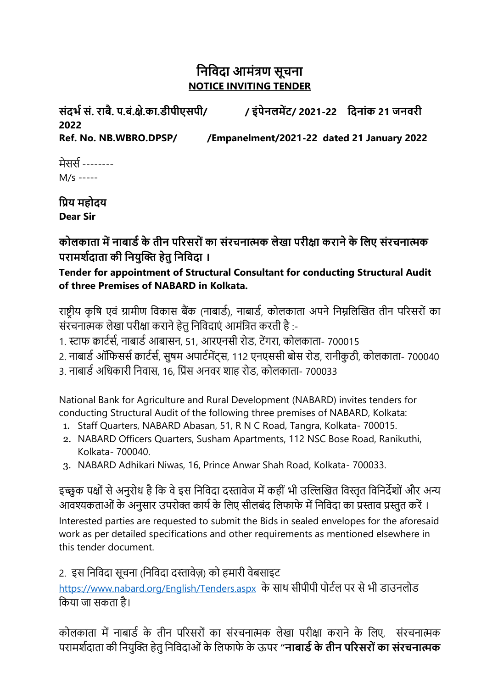## **निनिदा आमंत्रण सूचिा NOTICE INVITING TENDER**

**संदर्भ सं. राबै. प.बं.क्षे.का.डीपीएसपी/ / इंपेिलमेंट/ 2021-22 नदिांक 21 जििरी 2022 Ref. No. NB.WBRO.DPSP/ /Empanelment/2021-22 dated 21 January 2022** 

मेससस -------- M/s -----

**निय महोदय Dear Sir**

**कोलकाता में िाबाडभ के तीि पररसरों का संरचिात्मक लेखा परीक्षा करािे के नलए संरचिात्मक परामर्भदाता की नियुक्ति हेतु निनिदा ।**

**Tender for appointment of Structural Consultant for conducting Structural Audit of three Premises of NABARD in Kolkata.**

राष्ट्रीय कृषि एवं ग्रामीण षवकास बैंक (नाबार्स), नाबार्स, कोलकाता अपने षनम्नषलखित तीन पररसरों का संरचनात्मक लेखा परीक्षा कराने हेतु निविदाएं आमंत्रित करती है :-

1. स्टाफ क्वार्टर्स, नाबार्ड आबासन, 51, आरएनसी रोड, टेंगरा, कोलकाता- 700015

- 2. नाबार्ड ऑफिसर्स कार्टर्स, सुषम अपार्टमेंट्स, 112 एनएससी बोस रोड, रानीकुठी, कोलकाता- 700040
- 3. नाबार्स अषिकारी षनवास, 16, षरंस अनवर शाह रोर्, कोलकाता- 700033

National Bank for Agriculture and Rural Development (NABARD) invites tenders for conducting Structural Audit of the following three premises of NABARD, Kolkata:

- 1. Staff Quarters, NABARD Abasan, 51, R N C Road, Tangra, Kolkata- 700015.
- 2. NABARD Officers Quarters, Susham Apartments, 112 NSC Bose Road, Ranikuthi, Kolkata- 700040.
- 3. NABARD Adhikari Niwas, 16, Prince Anwar Shah Road, Kolkata- 700033.

इच्छुक पक्षों से अनुरोध है कि वे इस निविदा दस्तावेज में कहीं भी उल्लिखित विस्तृत विनिर्देशों और अन्य आवश्यकताओं के अनुसार उपरोक्त कार्य के लिए सीलबंद लिफाफे में निविदा का प्रस्ताव प्रस्तुत करें । Interested parties are requested to submit the Bids in sealed envelopes for the aforesaid work as per detailed specifications and other requirements as mentioned elsewhere in this tender document.

2. इस निविदा सूचना (निविदा दस्तावेज़) को हमारी वेबसाइट

<https://www.nabard.org/English/Tenders.aspx> के साथ सीपीपी पोर्टल पर से भी डाउनलोड षकया जा सकता है।

कोलकाता में नाबार्ड के तीन परिसरों का संरचनात्मक लेखा परीक्षा कराने के लिए. संरचनात्मक परामशसदाता की षनयुखक्त हेतु षनषवदाओं के षलफाफे के ऊपर **"िाबाडभ के तीि पररसरों का संरचिात्मक**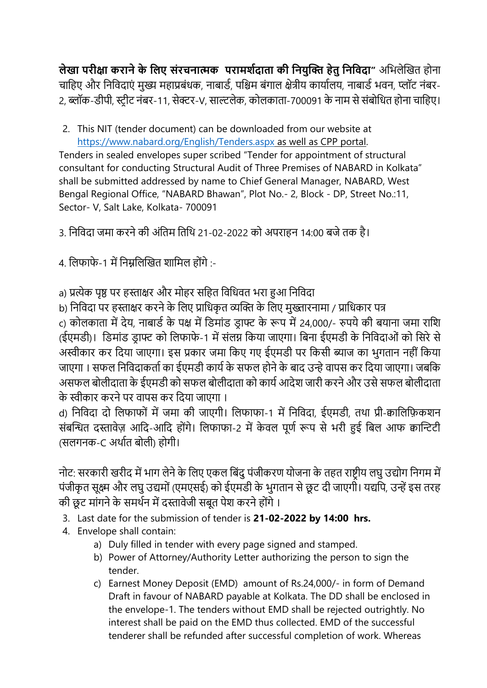**लेखा परीक्षा करािे के नलए संरचिात्मक परामर्भदाता की नियुक्ति हेतु निनिदा"** अषभलेखित होना चाहिए और निविदाएं मुख्य महाप्रबंधक, नाबार्ड, पश्चिम बंगाल क्षेत्रीय कार्यालय, नाबार्ड भवन, प्लॉट नंबर-2, ब्लॉक-डीपी, स्ट्रीट नंबर-11, सेक्टर-V, साल्टलेक, कोलकाता-700091 के नाम से संबोधित होना चाहिए।

2. This NIT (tender document) can be downloaded from our website at <https://www.nabard.org/English/Tenders.aspx> as well as CPP portal.

Tenders in sealed envelopes super scribed "Tender for appointment of structural consultant for conducting Structural Audit of Three Premises of NABARD in Kolkata" shall be submitted addressed by name to Chief General Manager, NABARD, West Bengal Regional Office, "NABARD Bhawan", Plot No.- 2, Block - DP, Street No.:11, Sector- V, Salt Lake, Kolkata- 700091

3. षनषवदा जमा करने की अंषतम षतषथ 21-02-2022 को अपराहन 14:00 बजे तक है।

4. षलफाफे-1 में षनम्नषलखित शाषमल होंगे :-

a) प्रत्येक पृष्ठ पर हस्ताक्षर और मोहर सहित विधिवत भरा हुआ निविदा

b) निविदा पर हस्ताक्षर करने के लिए प्राधिकृत व्यक्ति के लिए मुख्तारनामा / प्राधिकार पत्र

c) कोलकाता में देय, नाबार्स के पक्ष में षर्मांर् र्र ाफ्ट के रूप में 24,000/- रुपये की बयाना जमा राषश (ईएमर्ी)। षर्मांर् र्र ाफ्ट को षलफाफे-1 में संलग्न षकया जाएगा। षबना ईएमर्ी के षनषवदाओं को षसरे से अस्वीकार कर षदया जाएगा। इस रकार जमा षकए गए ईएमर्ी पर षकसी ब्याज का भुगतान नहीं षकया जाएगा । सफल निविदाकर्ता का ईएमडी कार्य के सफल होने के बाद उन्हे वापस कर दिया जाएगा। जबकि असफल बोलीदाता के ईएमडी को सफल बोलीदाता को कार्य आदेश जारी करने और उसे सफल बोलीदाता के स्वीकार करने पर वापस कर षदया जाएगा ।

d) निविदा दो लिफाफों में जमा की जाएगी। लिफाफा-1 में निविदा, ईएमडी, तथा प्री-क्वालिफ़िकशन संबन्धित दस्तावेज़ आदि-आदि होंगे। लिफाफा-2 में केवल पूर्ण रूप से भरी हुई बिल आफ क्वान्टिटी (सलगनक-C अथासत बोली) होगी।

नोट: सरकारी खरीद में भाग लेने के लिए एकल बिंदु पंजीकरण योजना के तहत राष्ट्रीय लघु उद्योग निगम में पंजीकृत सूक्ष्म और लघु उद्यमों (एमएसई) को ईएमडी के भुगतान से छूट दी जाएगी। यद्यपि, उन्हें इस तरह की छूट मांगने के समर्थन में दस्तावेजी सबूत पेश करने होंगे ।

- 3. Last date for the submission of tender is **21-02-2022 by 14:00 hrs.**
- 4. Envelope shall contain:
	- a) Duly filled in tender with every page signed and stamped.
	- b) Power of Attorney/Authority Letter authorizing the person to sign the tender.
	- c) Earnest Money Deposit (EMD) amount of Rs.24,000/- in form of Demand Draft in favour of NABARD payable at Kolkata. The DD shall be enclosed in the envelope-1. The tenders without EMD shall be rejected outrightly. No interest shall be paid on the EMD thus collected. EMD of the successful tenderer shall be refunded after successful completion of work. Whereas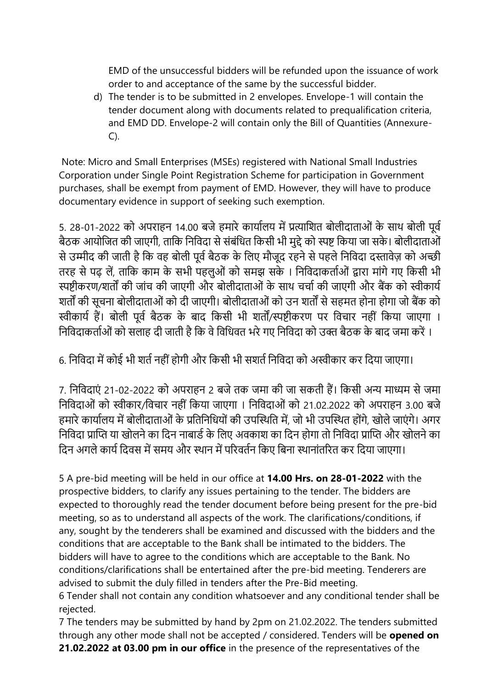EMD of the unsuccessful bidders will be refunded upon the issuance of work order to and acceptance of the same by the successful bidder.

d) The tender is to be submitted in 2 envelopes. Envelope-1 will contain the tender document along with documents related to prequalification criteria, and EMD DD. Envelope-2 will contain only the Bill of Quantities (Annexure-C).

Note: Micro and Small Enterprises (MSEs) registered with National Small Industries Corporation under Single Point Registration Scheme for participation in Government purchases, shall be exempt from payment of EMD. However, they will have to produce documentary evidence in support of seeking such exemption.

5. 28-01-2022 को अपराहन 14.00 बजे हमारे कार्यालय में प्रत्याशित बोलीदाताओं के साथ बोली पूर्व बैठक आयोजित की जाएगी, ताकि निविदा से संबंधित किसी भी मुद्दे को स्पष्ट किया जा सके। बोलीदाताओं से उम्मीद की जाती है कि वह बोली पूर्व बैठक के लिए मौजूद रहने से पहले निविदा दस्तावेज़ को अच्छी तरह से पढ़ लें, ताकि काम के सभी पहलुओं को समझ सके । निविदाकर्ताओं द्वारा मांगे गए किसी भी स्पष्टीकरण/शर्तों की जांच की जाएगी और बोलीदाताओं के साथ चर्चा की जाएगी और बैंक को स्वीकार्य शतों की सूचना बोलीदाताओं को दी जाएगी। बोलीदाताओं को उन शतों से सहमत होना होगा जो बैंक को स्वीकार्य हैं। बोली पूर्व बैठक के बाद किसी भी शर्तों/स्पष्टीकरण पर विचार नहीं किया जाएगा । निविदाकर्ताओं को सलाह दी जाती है कि वे विधिवत भरे गए निविदा को उक्त बैठक के बाद जमा करें ।

6. निविदा में कोई भी शर्त नहीं होगी और किसी भी सशर्त निविदा को अस्वीकार कर दिया जाएगा।

7. षनषवदाएं 21-02-2022 को अपराहन 2 बजे तक जमा की जा सकती हैं। षकसी अन्य माध्यम से जमा निविदाओं को स्वीकार/विचार नहीं किया जाएगा । निविदाओं को 21.02.2022 को अपराहन 3.00 बजे हमारे कार्यालय में बोलीदाताओं के प्रतिनिधियों की उपस्थिति में, जो भी उपस्थित होंगे, खोले जाएंगे। अगर निविदा प्राप्ति या खोलने का दिन नाबार्ड के लिए अवकाश का दिन होगा तो निविदा प्राप्ति और खोलने का दिन अगले कार्य दिवस में समय और स्थान में परिवर्तन किए बिना स्थानांतरित कर दिया जाएगा।

5 A pre-bid meeting will be held in our office at **14.00 Hrs. on 28-01-2022** with the prospective bidders, to clarify any issues pertaining to the tender. The bidders are expected to thoroughly read the tender document before being present for the pre-bid meeting, so as to understand all aspects of the work. The clarifications/conditions, if any, sought by the tenderers shall be examined and discussed with the bidders and the conditions that are acceptable to the Bank shall be intimated to the bidders. The bidders will have to agree to the conditions which are acceptable to the Bank. No conditions/clarifications shall be entertained after the pre-bid meeting. Tenderers are advised to submit the duly filled in tenders after the Pre-Bid meeting.

6 Tender shall not contain any condition whatsoever and any conditional tender shall be rejected.

7 The tenders may be submitted by hand by 2pm on 21.02.2022. The tenders submitted through any other mode shall not be accepted / considered. Tenders will be **opened on 21.02.2022 at 03.00 pm in our office** in the presence of the representatives of the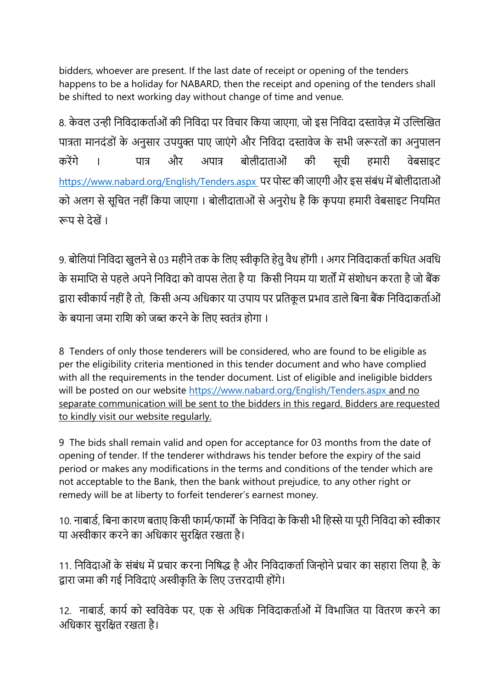bidders, whoever are present. If the last date of receipt or opening of the tenders happens to be a holiday for NABARD, then the receipt and opening of the tenders shall be shifted to next working day without change of time and venue.

8. केवल उन्ही निविदाकर्ताओं की निविदा पर विचार किया जाएगा, जो इस निविदा दस्तावेज़ में उल्लिखित पात्रता मानदंडों के अनुसार उपयुक्त पाए जाएंगे और निविदा दस्तावेज के सभी जरूरतों का अनुपालन करेंगे । पात्र और अपात्र बोलीदाताओं की सूची हमारी वेबसाइट <https://www.nabard.org/English/Tenders.aspx> पर पोस्ट की जाएगी और इस संबंध में बोलीदाताओं को अलग से सूचित नहीं किया जाएगा । बोलीदाताओं से अनुरोध है कि कृपया हमारी वेबसाइट नियमित रूप से देखें ।

9. बोलियां निविदा खुलने से 03 महीने तक के लिए स्वीकृति हेतु वैध होंगी । अगर निविदाकर्ता कथित अवधि के समाप्ति से पहले अपने निविदा को वापस लेता है या किसी नियम या शर्तों में संशोधन करता है जो बैंक द्वारा स्वीकार्य नहीं है तो, किसी अन्य अधिकार या उपाय पर प्रतिकृल प्रभाव डाले बिना बैंक निविदाकर्ताओं के बयाना जमा राशि को जब्त करने के लिए स्वतंत्र होगा ।

8 Tenders of only those tenderers will be considered, who are found to be eligible as per the eligibility criteria mentioned in this tender document and who have complied with all the requirements in the tender document. List of eligible and ineligible bidders will be posted on our website<https://www.nabard.org/English/Tenders.aspx> and no separate communication will be sent to the bidders in this regard. Bidders are requested to kindly visit our website regularly.

9 The bids shall remain valid and open for acceptance for 03 months from the date of opening of tender. If the tenderer withdraws his tender before the expiry of the said period or makes any modifications in the terms and conditions of the tender which are not acceptable to the Bank, then the bank without prejudice, to any other right or remedy will be at liberty to forfeit tenderer's earnest money.

10. नाबार्ड, बिना कारण बताए किसी फार्म/फार्मों के निविदा के किसी भी हिस्से या पूरी निविदा को स्वीकार या अस्वीकार करने का अधिकार सुरक्षित रखता है।

11. निविदाओं के संबंध में प्रचार करना निषिद्ध है और निविदाकर्ता जिन्होने प्रचार का सहारा लिया है, के द्वारा जमा की गई निविदाएं अस्वीकृति के लिए उत्तरदायी होंगे।

12. नाबार्ड, कार्य को स्वविवेक पर, एक से अधिक निविदाकर्ताओं में विभाजित या वितरण करने का अधिकार सुरक्षित रखता है।